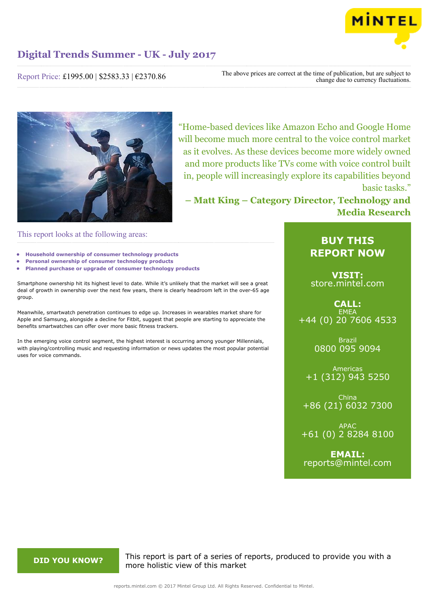

Report Price: £1995.00 | \$2583.33 | €2370.86

The above prices are correct at the time of publication, but are subject to change due to currency fluctuations.



"Home-based devices like Amazon Echo and Google Home will become much more central to the voice control market as it evolves. As these devices become more widely owned and more products like TVs come with voice control built in, people will increasingly explore its capabilities beyond basic tasks."

**– Matt King – Category Director, Technology and Media Research**

This report looks at the following areas:

- **• Household ownership of consumer technology products**
- **• Personal ownership of consumer technology products**
- **• Planned purchase or upgrade of consumer technology products**

Smartphone ownership hit its highest level to date. While it's unlikely that the market will see a great deal of growth in ownership over the next few years, there is clearly headroom left in the over-65 age group.

Meanwhile, smartwatch penetration continues to edge up. Increases in wearables market share for Apple and Samsung, alongside a decline for Fitbit, suggest that people are starting to appreciate the benefits smartwatches can offer over more basic fitness trackers.

In the emerging voice control segment, the highest interest is occurring among younger Millennials, with playing/controlling music and requesting information or news updates the most popular potential uses for voice commands.

## **BUY THIS REPORT NOW**

**VISIT:** [store.mintel.com](http://reports.mintel.com//display/store/793337/)

## **CALL: EMEA** +44 (0) 20 7606 4533

Brazil 0800 095 9094

Americas +1 (312) 943 5250

China +86 (21) 6032 7300

APAC +61 (0) 2 8284 8100

**EMAIL:** [reports@mintel.com](mailto:reports@mintel.com)

**DID YOU KNOW?** This report is part of a series of reports, produced to provide you with a more holistic view of this market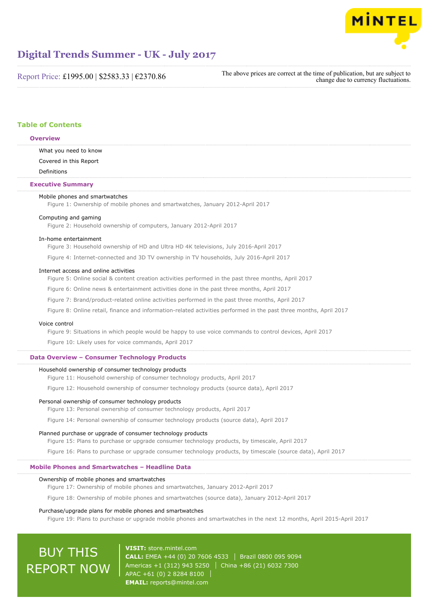

Report Price: £1995.00 | \$2583.33 | €2370.86

The above prices are correct at the time of publication, but are subject to change due to currency fluctuations.

## **Table of Contents**

#### **Overview**

What you need to know

Covered in this Report

Definitions

### **Executive Summary**

#### Mobile phones and smartwatches

Figure 1: Ownership of mobile phones and smartwatches, January 2012-April 2017

#### Computing and gaming

Figure 2: Household ownership of computers, January 2012-April 2017

#### In-home entertainment

Figure 3: Household ownership of HD and Ultra HD 4K televisions, July 2016-April 2017

Figure 4: Internet-connected and 3D TV ownership in TV households, July 2016-April 2017

#### Internet access and online activities

Figure 5: Online social & content creation activities performed in the past three months, April 2017

Figure 6: Online news & entertainment activities done in the past three months, April 2017

Figure 7: Brand/product-related online activities performed in the past three months, April 2017

Figure 8: Online retail, finance and information-related activities performed in the past three months, April 2017

#### Voice control

Figure 9: Situations in which people would be happy to use voice commands to control devices, April 2017

Figure 10: Likely uses for voice commands, April 2017

### **Data Overview – Consumer Technology Products**

#### Household ownership of consumer technology products

Figure 11: Household ownership of consumer technology products, April 2017

Figure 12: Household ownership of consumer technology products (source data), April 2017

#### Personal ownership of consumer technology products

Figure 13: Personal ownership of consumer technology products, April 2017

Figure 14: Personal ownership of consumer technology products (source data), April 2017

#### Planned purchase or upgrade of consumer technology products

Figure 15: Plans to purchase or upgrade consumer technology products, by timescale, April 2017

Figure 16: Plans to purchase or upgrade consumer technology products, by timescale (source data), April 2017

#### **Mobile Phones and Smartwatches – Headline Data**

#### Ownership of mobile phones and smartwatches

Figure 17: Ownership of mobile phones and smartwatches, January 2012-April 2017

Figure 18: Ownership of mobile phones and smartwatches (source data), January 2012-April 2017

### Purchase/upgrade plans for mobile phones and smartwatches

Figure 19: Plans to purchase or upgrade mobile phones and smartwatches in the next 12 months, April 2015-April 2017

# BUY THIS REPORT NOW

**VISIT:** [store.mintel.com](http://reports.mintel.com//display/store/793337/) **CALL:** EMEA +44 (0) 20 7606 4533 Brazil 0800 095 9094 Americas +1 (312) 943 5250 | China +86 (21) 6032 7300 APAC +61 (0) 2 8284 8100 **EMAIL:** [reports@mintel.com](mailto:reports@mintel.com)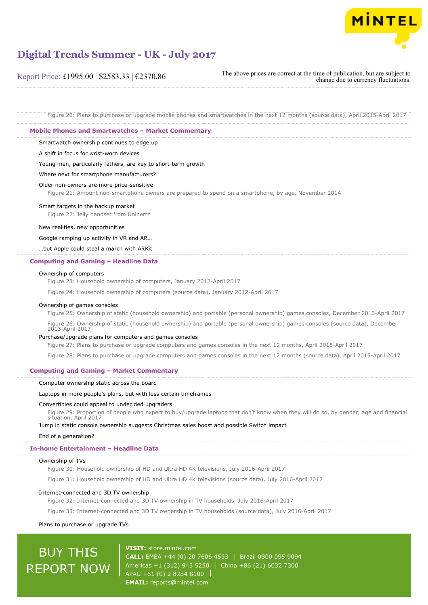

### Report Price: £1995.00 | \$2583.33 | €2370.86

The above prices are correct at the time of publication, but are subject to change due to currency fluctuations.

Figure 20: Plans to purchase or upgrade mobile phones and smartwatches in the next 12 months (source data), April 2015-April 2017

#### **Mobile Phones and Smartwatches – Market Commentary**

Smartwatch ownership continues to edge up

A shift in focus for wrist-worn devices

Young men, particularly fathers, are key to short-term growth

Where next for smartphone manufacturers?

#### Older non-owners are more price-sensitive

Figure 21: Amount non-smartphone owners are prepared to spend on a smartphone, by age, November 2014

#### Smart targets in the backup market

Figure 22: Jelly handset from Unihertz

#### New realities, new opportunities

Google ramping up activity in VR and AR…

…but Apple could steal a march with ARKit

#### **Computing and Gaming – Headline Data**

#### Ownership of computers

Figure 23: Household ownership of computers, January 2012-April 2017

Figure 24: Household ownership of computers (source data), January 2012-April 2017

#### Ownership of games consoles

Figure 25: Ownership of static (household ownership) and portable (personal ownership) games consoles, December 2013-April 2017

Figure 26: Ownership of static (household ownership) and portable (personal ownership) games consoles (source data), December 2013-April 2017

#### Purchase/upgrade plans for computers and games consoles

Figure 27: Plans to purchase or upgrade computers and games consoles in the next 12 months, April 2015-April 2017

Figure 28: Plans to purchase or upgrade computers and games consoles in the next 12 months (source data), April 2015-April 2017

#### **Computing and Gaming – Market Commentary**

#### Computer ownership static across the board

#### Laptops in more people's plans, but with less certain timeframes

#### Convertibles could appeal to undecided upgraders

Figure 29: Proportion of people who expect to buy/upgrade laptops that don't know when they will do so, by gender, age and financial situation, April 2017

Jump in static console ownership suggests Christmas sales boost and possible Switch impact

#### End of a generation?

#### **In-home Entertainment – Headline Data**

#### Ownership of TVs

Figure 30: Household ownership of HD and Ultra HD 4K televisions, July 2016-April 2017

Figure 31: Household ownership of HD and Ultra HD 4K televisions (source data), July 2016-April 2017

#### Internet-connected and 3D TV ownership

Figure 32: Internet-connected and 3D TV ownership in TV households, July 2016-April 2017

Figure 33: Internet-connected and 3D TV ownership in TV households (source data), July 2016-April 2017

Plans to purchase or upgrade TVs

# BUY THIS REPORT NOW

**VISIT:** [store.mintel.com](http://reports.mintel.com//display/store/793337/) **CALL:** EMEA +44 (0) 20 7606 4533 Brazil 0800 095 9094 Americas +1 (312) 943 5250 | China +86 (21) 6032 7300 APAC +61 (0) 2 8284 8100 **EMAIL:** [reports@mintel.com](mailto:reports@mintel.com)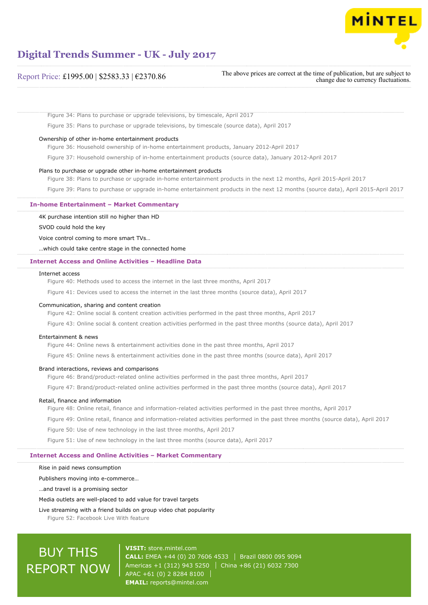

### Report Price: £1995.00 | \$2583.33 | €2370.86

The above prices are correct at the time of publication, but are subject to change due to currency fluctuations.

Figure 34: Plans to purchase or upgrade televisions, by timescale, April 2017

Figure 35: Plans to purchase or upgrade televisions, by timescale (source data), April 2017

#### Ownership of other in-home entertainment products

Figure 36: Household ownership of in-home entertainment products, January 2012-April 2017

Figure 37: Household ownership of in-home entertainment products (source data), January 2012-April 2017

#### Plans to purchase or upgrade other in-home entertainment products

Figure 38: Plans to purchase or upgrade in-home entertainment products in the next 12 months, April 2015-April 2017 Figure 39: Plans to purchase or upgrade in-home entertainment products in the next 12 months (source data), April 2015-April 2017

#### **In-home Entertainment – Market Commentary**

4K purchase intention still no higher than HD

SVOD could hold the key

Voice control coming to more smart TVs…

…which could take centre stage in the connected home

#### **Internet Access and Online Activities – Headline Data**

#### Internet access

Figure 40: Methods used to access the internet in the last three months, April 2017

Figure 41: Devices used to access the internet in the last three months (source data), April 2017

#### Communication, sharing and content creation

Figure 42: Online social & content creation activities performed in the past three months, April 2017

Figure 43: Online social & content creation activities performed in the past three months (source data), April 2017

#### Entertainment & news

Figure 44: Online news & entertainment activities done in the past three months, April 2017

Figure 45: Online news & entertainment activities done in the past three months (source data), April 2017

#### Brand interactions, reviews and comparisons

Figure 46: Brand/product-related online activities performed in the past three months, April 2017

Figure 47: Brand/product-related online activities performed in the past three months (source data), April 2017

#### Retail, finance and information

Figure 48: Online retail, finance and information-related activities performed in the past three months, April 2017

Figure 49: Online retail, finance and information-related activities performed in the past three months (source data), April 2017

Figure 50: Use of new technology in the last three months, April 2017

Figure 51: Use of new technology in the last three months (source data), April 2017

#### **Internet Access and Online Activities – Market Commentary**

Rise in paid news consumption

Publishers moving into e-commerce…

…and travel is a promising sector

Media outlets are well-placed to add value for travel targets

Live streaming with a friend builds on group video chat popularity

Figure 52: Facebook Live With feature

# BUY THIS REPORT NOW

**VISIT:** [store.mintel.com](http://reports.mintel.com//display/store/793337/) **CALL:** EMEA +44 (0) 20 7606 4533 Brazil 0800 095 9094 Americas +1 (312) 943 5250 | China +86 (21) 6032 7300 APAC +61 (0) 2 8284 8100 **EMAIL:** [reports@mintel.com](mailto:reports@mintel.com)